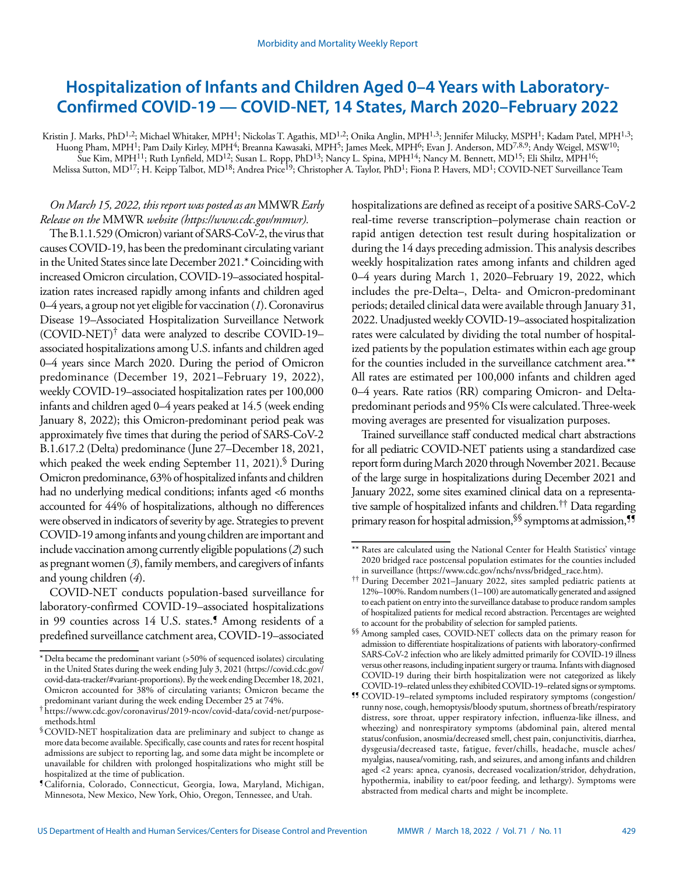# **Hospitalization of Infants and Children Aged 0–4 Years with Laboratory-Confirmed COVID-19 — COVID-NET, 14 States, March 2020–February 2022**

Kristin J. Marks, PhD<sup>1,2</sup>; Michael Whitaker, MPH<sup>1</sup>; Nickolas T. Agathis, MD<sup>1,2</sup>; Onika Anglin, MPH<sup>1,3</sup>; Jennifer Milucky, MSPH<sup>1</sup>; Kadam Patel, MPH<sup>1,3</sup>; Huong Pham, MPH1; Pam Daily Kirley, MPH4; Breanna Kawasaki, MPH5; James Meek, MPH6; Evan J. Anderson, MD7,8,9; Andy Weigel, MSW10; Sue Kim, MPH11; Ruth Lynfield, MD12; Susan L. Ropp, PhD13; Nancy L. Spina, MPH14; Nancy M. Bennett, MD15; Eli Shiltz, MPH16; Melissa Sutton, MD<sup>17</sup>; H. Keipp Talbot, MD<sup>18</sup>; Andrea Price<sup>19</sup>; Christopher A. Taylor, PhD<sup>1</sup>; Fiona P. Havers, MD<sup>1</sup>; COVID-NET Surveillance Team

## *On March 15, 2022, this report was posted as an* MMWR *Early Release on the* MMWR *website [\(https://www.cdc.gov/mmwr\)](https://www.cdc.gov/mmwr).*

The B.1.1.529 (Omicron) variant of SARS-CoV-2, the virus that causes COVID-19, has been the predominant circulating variant in the United States since late December 2021.\* Coinciding with increased Omicron circulation, COVID-19–associated hospitalization rates increased rapidly among infants and children aged 0–4 years, a group not yet eligible for vaccination (*1*). Coronavirus Disease 19–Associated Hospitalization Surveillance Network (COVID-NET)† data were analyzed to describe COVID-19– associated hospitalizations among U.S. infants and children aged 0–4 years since March 2020. During the period of Omicron predominance (December 19, 2021–February 19, 2022), weekly COVID-19–associated hospitalization rates per 100,000 infants and children aged 0–4 years peaked at 14.5 (week ending January 8, 2022); this Omicron-predominant period peak was approximately five times that during the period of SARS-CoV-2 B.1.617.2 (Delta) predominance (June 27–December 18, 2021, which peaked the week ending September 11, 2021).  $\$$  During Omicron predominance, 63% of hospitalized infants and children had no underlying medical conditions; infants aged <6 months accounted for 44% of hospitalizations, although no differences were observed in indicators of severity by age. Strategies to prevent COVID-19 among infants and young children are important and include vaccination among currently eligible populations (*2*) such as pregnant women (*3*), family members, and caregivers of infants and young children (*4*).

COVID-NET conducts population-based surveillance for laboratory-confirmed COVID-19–associated hospitalizations in 99 counties across 14 U.S. states.<sup>5</sup> Among residents of a predefined surveillance catchment area, COVID-19–associated

hospitalizations are defined as receipt of a positive SARS-CoV-2 real-time reverse transcription–polymerase chain reaction or rapid antigen detection test result during hospitalization or during the 14 days preceding admission. This analysis describes weekly hospitalization rates among infants and children aged 0–4 years during March 1, 2020–February 19, 2022, which includes the pre-Delta–, Delta- and Omicron-predominant periods; detailed clinical data were available through January 31, 2022. Unadjusted weekly COVID-19–associated hospitalization rates were calculated by dividing the total number of hospitalized patients by the population estimates within each age group for the counties included in the surveillance catchment area.\*\* All rates are estimated per 100,000 infants and children aged 0–4 years. Rate ratios (RR) comparing Omicron- and Deltapredominant periods and 95% CIs were calculated. Three-week moving averages are presented for visualization purposes.

Trained surveillance staff conducted medical chart abstractions for all pediatric COVID-NET patients using a standardized case report form during March 2020 through November 2021. Because of the large surge in hospitalizations during December 2021 and January 2022, some sites examined clinical data on a representative sample of hospitalized infants and children.†† Data regarding primary reason for hospital admission,<sup>§§</sup> symptoms at admission,<sup>55</sup>

<sup>\*</sup>Delta became the predominant variant (>50% of sequenced isolates) circulating in the United States during the week ending July 3, 2021 ([https://covid.cdc.gov/](https://covid.cdc.gov/covid-data-tracker/#variant-proportions) [covid-data-tracker/#variant-proportions](https://covid.cdc.gov/covid-data-tracker/#variant-proportions)). By the week ending December 18, 2021, Omicron accounted for 38% of circulating variants; Omicron became the predominant variant during the week ending December 25 at 74%.

<sup>†</sup> [https://www.cdc.gov/coronavirus/2019-ncov/covid-data/covid-net/purpose](https://www.cdc.gov/coronavirus/2019-ncov/covid-data/covid-net/purpose-methods.html)[methods.html](https://www.cdc.gov/coronavirus/2019-ncov/covid-data/covid-net/purpose-methods.html)

<sup>§</sup>COVID-NET hospitalization data are preliminary and subject to change as more data become available. Specifically, case counts and rates for recent hospital admissions are subject to reporting lag, and some data might be incomplete or unavailable for children with prolonged hospitalizations who might still be hospitalized at the time of publication.

<sup>¶</sup>California, Colorado, Connecticut, Georgia, Iowa, Maryland, Michigan, Minnesota, New Mexico, New York, Ohio, Oregon, Tennessee, and Utah.

<sup>\*\*</sup> Rates are calculated using the National Center for Health Statistics' vintage 2020 bridged race postcensal population estimates for the counties included in surveillance [\(https://www.cdc.gov/nchs/nvss/bridged\\_race.htm\)](https://www.cdc.gov/nchs/nvss/bridged_race.htm).

<sup>††</sup> During December 2021–January 2022, sites sampled pediatric patients at 12%–100%. Random numbers (1–100) are automatically generated and assigned to each patient on entry into the surveillance database to produce random samples of hospitalized patients for medical record abstraction. Percentages are weighted to account for the probability of selection for sampled patients.

<sup>§§</sup> Among sampled cases, COVID-NET collects data on the primary reason for admission to differentiate hospitalizations of patients with laboratory-confirmed SARS-CoV-2 infection who are likely admitted primarily for COVID-19 illness versus other reasons, including inpatient surgery or trauma. Infants with diagnosed COVID-19 during their birth hospitalization were not categorized as likely COVID-19–related unless they exhibited COVID-19–related signs or symptoms.

<sup>¶¶</sup> COVID-19–related symptoms included respiratory symptoms (congestion/ runny nose, cough, hemoptysis/bloody sputum, shortness of breath/respiratory distress, sore throat, upper respiratory infection, influenza-like illness, and wheezing) and nonrespiratory symptoms (abdominal pain, altered mental status/confusion, anosmia/decreased smell, chest pain, conjunctivitis, diarrhea, dysgeusia/decreased taste, fatigue, fever/chills, headache, muscle aches/ myalgias, nausea/vomiting, rash, and seizures, and among infants and children aged <2 years: apnea, cyanosis, decreased vocalization/stridor, dehydration, hypothermia, inability to eat/poor feeding, and lethargy). Symptoms were abstracted from medical charts and might be incomplete.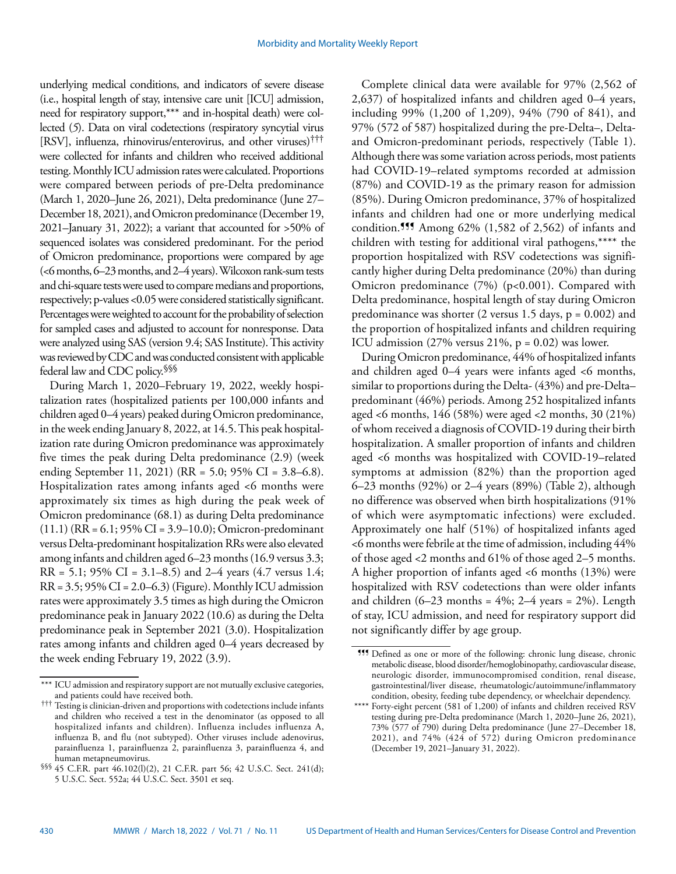underlying medical conditions, and indicators of severe disease (i.e., hospital length of stay, intensive care unit [ICU] admission, need for respiratory support,\*\*\* and in-hospital death) were collected (*5*). Data on viral codetections (respiratory syncytial virus [RSV], influenza, rhinovirus/enterovirus, and other viruses)††† were collected for infants and children who received additional testing. Monthly ICU admission rates were calculated. Proportions were compared between periods of pre-Delta predominance (March 1, 2020–June 26, 2021), Delta predominance (June 27– December 18, 2021), and Omicron predominance (December 19, 2021–January 31, 2022); a variant that accounted for >50% of sequenced isolates was considered predominant. For the period of Omicron predominance, proportions were compared by age (<6 months, 6–23 months, and 2–4 years). Wilcoxon rank-sum tests and chi-square tests were used to compare medians and proportions, respectively; p-values <0.05 were considered statistically significant. Percentages were weighted to account for the probability of selection for sampled cases and adjusted to account for nonresponse. Data were analyzed using SAS (version 9.4; SAS Institute). This activity was reviewed by CDC and was conducted consistent with applicable federal law and CDC policy.§§§

During March 1, 2020–February 19, 2022, weekly hospitalization rates (hospitalized patients per 100,000 infants and children aged 0–4 years) peaked during Omicron predominance, in the week ending January 8, 2022, at 14.5. This peak hospitalization rate during Omicron predominance was approximately five times the peak during Delta predominance (2.9) (week ending September 11, 2021) (RR = 5.0; 95% CI = 3.8–6.8). Hospitalization rates among infants aged <6 months were approximately six times as high during the peak week of Omicron predominance (68.1) as during Delta predominance  $(11.1)$  (RR = 6.1; 95% CI = 3.9–10.0); Omicron-predominant versus Delta-predominant hospitalization RRs were also elevated among infants and children aged 6–23 months (16.9 versus 3.3;  $RR = 5.1$ ; 95% CI = 3.1–8.5) and 2–4 years (4.7 versus 1.4;  $RR = 3.5$ ; 95% CI = 2.0–6.3) (Figure). Monthly ICU admission rates were approximately 3.5 times as high during the Omicron predominance peak in January 2022 (10.6) as during the Delta predominance peak in September 2021 (3.0). Hospitalization rates among infants and children aged 0–4 years decreased by the week ending February 19, 2022 (3.9).

Complete clinical data were available for 97% (2,562 of 2,637) of hospitalized infants and children aged 0–4 years, including 99% (1,200 of 1,209), 94% (790 of 841), and 97% (572 of 587) hospitalized during the pre-Delta–, Deltaand Omicron-predominant periods, respectively (Table 1). Although there was some variation across periods, most patients had COVID-19–related symptoms recorded at admission (87%) and COVID-19 as the primary reason for admission (85%). During Omicron predominance, 37% of hospitalized infants and children had one or more underlying medical condition.<sup>111</sup> Among  $62\%$  (1,582 of 2,562) of infants and children with testing for additional viral pathogens,\*\*\*\* the proportion hospitalized with RSV codetections was significantly higher during Delta predominance (20%) than during Omicron predominance (7%) (p<0.001). Compared with Delta predominance, hospital length of stay during Omicron predominance was shorter (2 versus 1.5 days,  $p = 0.002$ ) and the proportion of hospitalized infants and children requiring ICU admission  $(27\%$  versus  $21\%$ ,  $p = 0.02$ ) was lower.

During Omicron predominance, 44% of hospitalized infants and children aged 0–4 years were infants aged <6 months, similar to proportions during the Delta- (43%) and pre-Delta– predominant (46%) periods. Among 252 hospitalized infants aged <6 months, 146 (58%) were aged <2 months, 30 (21%) of whom received a diagnosis of COVID-19 during their birth hospitalization. A smaller proportion of infants and children aged <6 months was hospitalized with COVID-19–related symptoms at admission (82%) than the proportion aged 6–23 months (92%) or 2–4 years (89%) (Table 2), although no difference was observed when birth hospitalizations (91% of which were asymptomatic infections) were excluded. Approximately one half (51%) of hospitalized infants aged <6 months were febrile at the time of admission, including 44% of those aged <2 months and 61% of those aged 2–5 months. A higher proportion of infants aged <6 months (13%) were hospitalized with RSV codetections than were older infants and children  $(6-23$  months =  $4\%$ ; 2-4 years = 2%). Length of stay, ICU admission, and need for respiratory support did not significantly differ by age group.

<sup>\*\*\*</sup> ICU admission and respiratory support are not mutually exclusive categories, and patients could have received both.

<sup>†††</sup> Testing is clinician-driven and proportions with codetections include infants and children who received a test in the denominator (as opposed to all hospitalized infants and children). Influenza includes influenza A, influenza B, and flu (not subtyped). Other viruses include adenovirus, parainfluenza 1, parainfluenza 2, parainfluenza 3, parainfluenza 4, and human metapneumovirus.

<sup>§§§</sup> 45 C.F.R. part 46.102(l)(2), 21 C.F.R. part 56; 42 U.S.C. Sect. 241(d); 5 U.S.C. Sect. 552a; 44 U.S.C. Sect. 3501 et seq.

<sup>¶¶¶</sup> Defined as one or more of the following: chronic lung disease, chronic metabolic disease, blood disorder/hemoglobinopathy, cardiovascular disease, neurologic disorder, immunocompromised condition, renal disease, gastrointestinal/liver disease, rheumatologic/autoimmune/inflammatory condition, obesity, feeding tube dependency, or wheelchair dependency.

<sup>\*\*\*\*</sup> Forty-eight percent (581 of 1,200) of infants and children received RSV testing during pre-Delta predominance (March 1, 2020–June 26, 2021), 73% (577 of 790) during Delta predominance (June 27–December 18, 2021), and  $74\%$  (424 of 572) during Omicron predominance (December 19, 2021–January 31, 2022).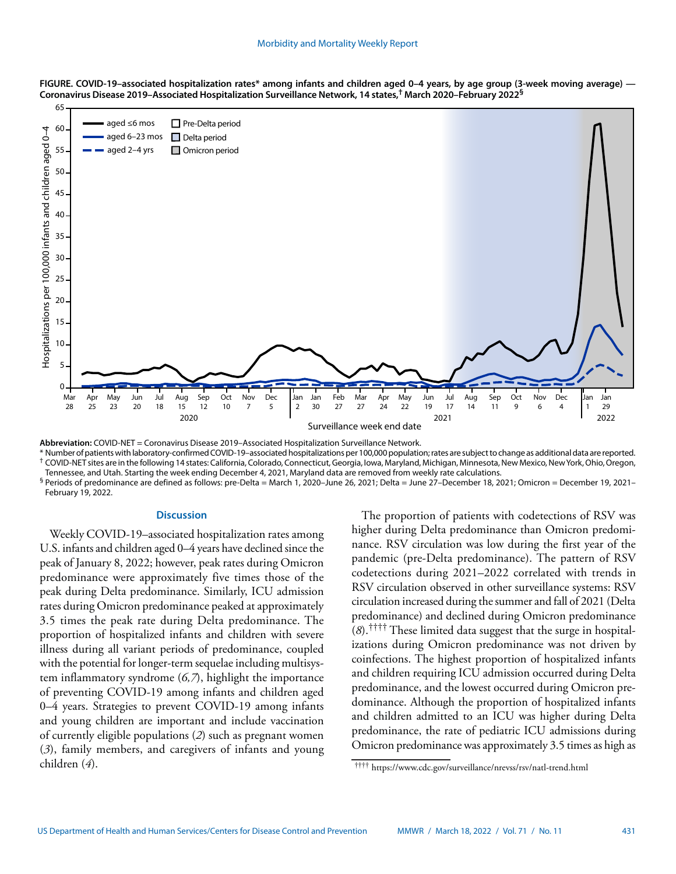

**FIGURE. COVID-19–associated hospitalization rates\* among infants and children aged 0–4 years, by age group (3-week moving average) — Coronavirus Disease 2019–Associated Hospitalization Surveillance Network, 14 states,† March 2020–February 2022§**

**Abbreviation:** COVID-NET = Coronavirus Disease 2019–Associated Hospitalization Surveillance Network.

\* Number of patients with laboratory-confirmed COVID-19–associated hospitalizations per 100,000 population; rates are subject to change as additional data are reported. † COVID-NET sites are in the following 14 states: California, Colorado, Connecticut, Georgia, Iowa, Maryland, Michigan, Minnesota, New Mexico, New York, Ohio, Oregon, Tennessee, and Utah. Starting the week ending December 4, 2021, Maryland data are removed from weekly rate calculations.

 $^{\S}$  Periods of predominance are defined as follows: pre-Delta = March 1, 2020–June 26, 2021; Delta = June 27–December 18, 2021; Omicron = December 19, 2021– February 19, 2022.

### **Discussion**

Weekly COVID-19–associated hospitalization rates among U.S. infants and children aged 0–4 years have declined since the peak of January 8, 2022; however, peak rates during Omicron predominance were approximately five times those of the peak during Delta predominance. Similarly, ICU admission rates during Omicron predominance peaked at approximately 3.5 times the peak rate during Delta predominance. The proportion of hospitalized infants and children with severe illness during all variant periods of predominance, coupled with the potential for longer-term sequelae including multisystem inflammatory syndrome (*6,7*), highlight the importance of preventing COVID-19 among infants and children aged 0–4 years. Strategies to prevent COVID-19 among infants and young children are important and include vaccination of currently eligible populations (*2*) such as pregnant women (*3*), family members, and caregivers of infants and young children (*4*).

The proportion of patients with codetections of RSV was higher during Delta predominance than Omicron predominance. RSV circulation was low during the first year of the pandemic (pre-Delta predominance). The pattern of RSV codetections during 2021–2022 correlated with trends in RSV circulation observed in other surveillance systems: RSV circulation increased during the summer and fall of 2021 (Delta predominance) and declined during Omicron predominance (*8*).†††† These limited data suggest that the surge in hospitalizations during Omicron predominance was not driven by coinfections. The highest proportion of hospitalized infants and children requiring ICU admission occurred during Delta predominance, and the lowest occurred during Omicron predominance. Although the proportion of hospitalized infants and children admitted to an ICU was higher during Delta predominance, the rate of pediatric ICU admissions during Omicron predominance was approximately 3.5 times as high as

<sup>††††</sup> <https://www.cdc.gov/surveillance/nrevss/rsv/natl-trend.html>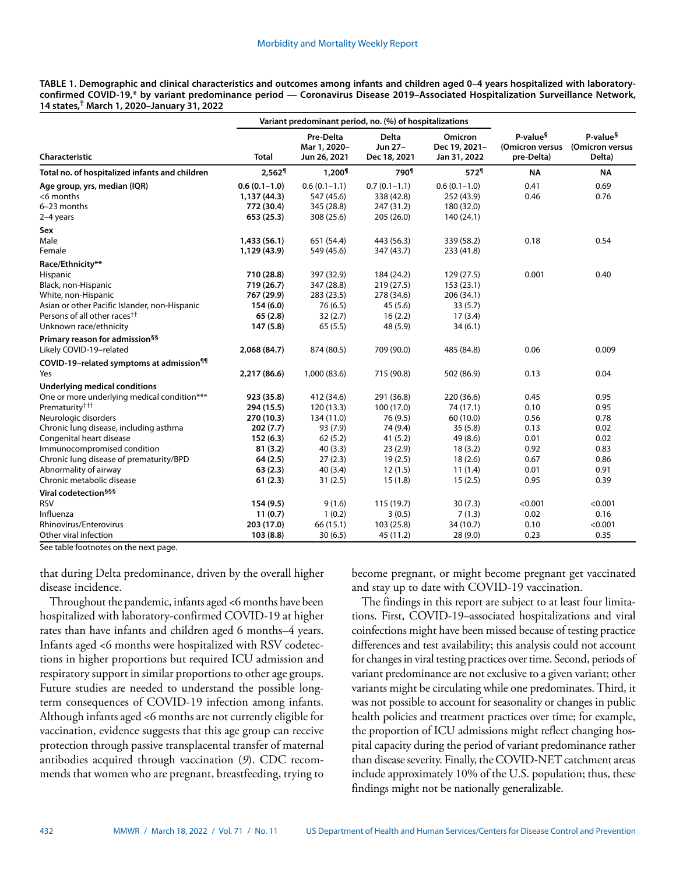| TABLE 1. Demographic and clinical characteristics and outcomes among infants and children aged 0–4 years hospitalized with laboratory- |  |
|----------------------------------------------------------------------------------------------------------------------------------------|--|
| confirmed COVID-19,* by variant predominance period — Coronavirus Disease 2019–Associated Hospitalization Surveillance Network,        |  |
| 14 states, <sup>†</sup> March 1, 2020–January 31, 2022                                                                                 |  |

|                                                      |                    | Variant predominant period, no. (%) of hospitalizations |                                         |                                          |                                                       |                                                   |
|------------------------------------------------------|--------------------|---------------------------------------------------------|-----------------------------------------|------------------------------------------|-------------------------------------------------------|---------------------------------------------------|
| Characteristic                                       | <b>Total</b>       | Pre-Delta<br>Mar 1, 2020-<br>Jun 26, 2021               | <b>Delta</b><br>Jun 27-<br>Dec 18, 2021 | Omicron<br>Dec 19, 2021-<br>Jan 31, 2022 | P-value <sup>§</sup><br>(Omicron versus<br>pre-Delta) | P-value <sup>§</sup><br>(Omicron versus<br>Delta) |
| Total no. of hospitalized infants and children       | 2,562 <sup>1</sup> | 1,200 <sup>1</sup>                                      | 790 <sup>1</sup>                        | 572 <sup>1</sup>                         | <b>NA</b>                                             | <b>NA</b>                                         |
| Age group, yrs, median (IQR)                         | $0.6(0.1-1.0)$     | $0.6(0.1-1.1)$                                          | $0.7(0.1-1.1)$                          | $0.6(0.1-1.0)$                           | 0.41                                                  | 0.69                                              |
| $<$ 6 months                                         | 1,137 (44.3)       | 547 (45.6)                                              | 338 (42.8)                              | 252 (43.9)                               | 0.46                                                  | 0.76                                              |
| 6-23 months                                          | 772 (30.4)         | 345 (28.8)                                              | 247 (31.2)                              | 180 (32.0)                               |                                                       |                                                   |
| 2-4 years                                            | 653 (25.3)         | 308 (25.6)                                              | 205 (26.0)                              | 140 (24.1)                               |                                                       |                                                   |
| Sex                                                  |                    |                                                         |                                         |                                          |                                                       |                                                   |
| Male                                                 | 1,433(56.1)        | 651 (54.4)                                              | 443 (56.3)                              | 339 (58.2)                               | 0.18                                                  | 0.54                                              |
| Female                                               | 1,129 (43.9)       | 549 (45.6)                                              | 347 (43.7)                              | 233 (41.8)                               |                                                       |                                                   |
| Race/Ethnicity**                                     |                    |                                                         |                                         |                                          |                                                       |                                                   |
| Hispanic                                             | 710 (28.8)         | 397 (32.9)                                              | 184 (24.2)                              | 129(27.5)                                | 0.001                                                 | 0.40                                              |
| Black, non-Hispanic                                  | 719 (26.7)         | 347 (28.8)                                              | 219(27.5)                               | 153(23.1)                                |                                                       |                                                   |
| White, non-Hispanic                                  | 767 (29.9)         | 283 (23.5)                                              | 278 (34.6)                              | 206 (34.1)                               |                                                       |                                                   |
| Asian or other Pacific Islander, non-Hispanic        | 154(6.0)           | 76(6.5)                                                 | 45(5.6)                                 | 33(5.7)                                  |                                                       |                                                   |
| Persons of all other races <sup>††</sup>             | 65(2.8)            | 32(2.7)                                                 | 16(2.2)                                 | 17(3.4)                                  |                                                       |                                                   |
| Unknown race/ethnicity                               | 147(5.8)           | 65(5.5)                                                 | 48 (5.9)                                | 34(6.1)                                  |                                                       |                                                   |
| Primary reason for admission <sup>§§</sup>           |                    |                                                         |                                         |                                          |                                                       |                                                   |
| Likely COVID-19-related                              | 2,068 (84.7)       | 874 (80.5)                                              | 709 (90.0)                              | 485 (84.8)                               | 0.06                                                  | 0.009                                             |
| COVID-19-related symptoms at admission <sup>11</sup> |                    |                                                         |                                         |                                          |                                                       |                                                   |
| Yes                                                  | 2,217 (86.6)       | 1,000 (83.6)                                            | 715 (90.8)                              | 502 (86.9)                               | 0.13                                                  | 0.04                                              |
| Underlying medical conditions                        |                    |                                                         |                                         |                                          |                                                       |                                                   |
| One or more underlying medical condition***          | 923 (35.8)         | 412 (34.6)                                              | 291 (36.8)                              | 220 (36.6)                               | 0.45                                                  | 0.95                                              |
| Prematurity <sup>†††</sup>                           | 294 (15.5)         | 120 (13.3)                                              | 100 (17.0)                              | 74 (17.1)                                | 0.10                                                  | 0.95                                              |
| Neurologic disorders                                 | 270 (10.3)         | 134 (11.0)                                              | 76 (9.5)                                | 60 (10.0)                                | 0.56                                                  | 0.78                                              |
| Chronic lung disease, including asthma               | 202(7.7)           | 93 (7.9)                                                | 74 (9.4)                                | 35(5.8)                                  | 0.13                                                  | 0.02                                              |
| Congenital heart disease                             | 152(6.3)           | 62(5.2)                                                 | 41(5.2)                                 | 49 (8.6)                                 | 0.01                                                  | 0.02                                              |
| Immunocompromised condition                          | 81(3.2)            | 40(3.3)                                                 | 23(2.9)                                 | 18(3.2)                                  | 0.92                                                  | 0.83                                              |
| Chronic lung disease of prematurity/BPD              | 64(2.5)            | 27(2.3)                                                 | 19(2.5)                                 | 18(2.6)                                  | 0.67                                                  | 0.86                                              |
| Abnormality of airway                                | 63(2.3)            | 40(3.4)                                                 | 12(1.5)                                 | 11(1.4)                                  | 0.01                                                  | 0.91                                              |
| Chronic metabolic disease                            | 61(2.3)            | 31(2.5)                                                 | 15(1.8)                                 | 15(2.5)                                  | 0.95                                                  | 0.39                                              |
| Viral codetection <sup>§§§</sup>                     |                    |                                                         |                                         |                                          |                                                       |                                                   |
| <b>RSV</b>                                           | 154(9.5)           | 9(1.6)                                                  | 115 (19.7)                              | 30(7.3)                                  | < 0.001                                               | < 0.001                                           |
| Influenza                                            | 11(0.7)            | 1(0.2)                                                  | 3(0.5)                                  | 7(1.3)                                   | 0.02                                                  | 0.16                                              |
| Rhinovirus/Enterovirus                               | 203 (17.0)         | 66 (15.1)                                               | 103 (25.8)                              | 34 (10.7)                                | 0.10                                                  | < 0.001                                           |
| Other viral infection                                | 103(8.8)           | 30(6.5)                                                 | 45 (11.2)                               | 28(9.0)                                  | 0.23                                                  | 0.35                                              |

See table footnotes on the next page.

that during Delta predominance, driven by the overall higher disease incidence.

Throughout the pandemic, infants aged <6 months have been hospitalized with laboratory-confirmed COVID-19 at higher rates than have infants and children aged 6 months–4 years. Infants aged <6 months were hospitalized with RSV codetections in higher proportions but required ICU admission and respiratory support in similar proportions to other age groups. Future studies are needed to understand the possible longterm consequences of COVID-19 infection among infants. Although infants aged <6 months are not currently eligible for vaccination, evidence suggests that this age group can receive protection through passive transplacental transfer of maternal antibodies acquired through vaccination (*9*). CDC recommends that women who are pregnant, breastfeeding, trying to become pregnant, or might become pregnant get vaccinated and stay up to date with COVID-19 vaccination.

The findings in this report are subject to at least four limitations. First, COVID-19–associated hospitalizations and viral coinfections might have been missed because of testing practice differences and test availability; this analysis could not account for changes in viral testing practices over time. Second, periods of variant predominance are not exclusive to a given variant; other variants might be circulating while one predominates. Third, it was not possible to account for seasonality or changes in public health policies and treatment practices over time; for example, the proportion of ICU admissions might reflect changing hospital capacity during the period of variant predominance rather than disease severity. Finally, the COVID-NET catchment areas include approximately 10% of the U.S. population; thus, these findings might not be nationally generalizable.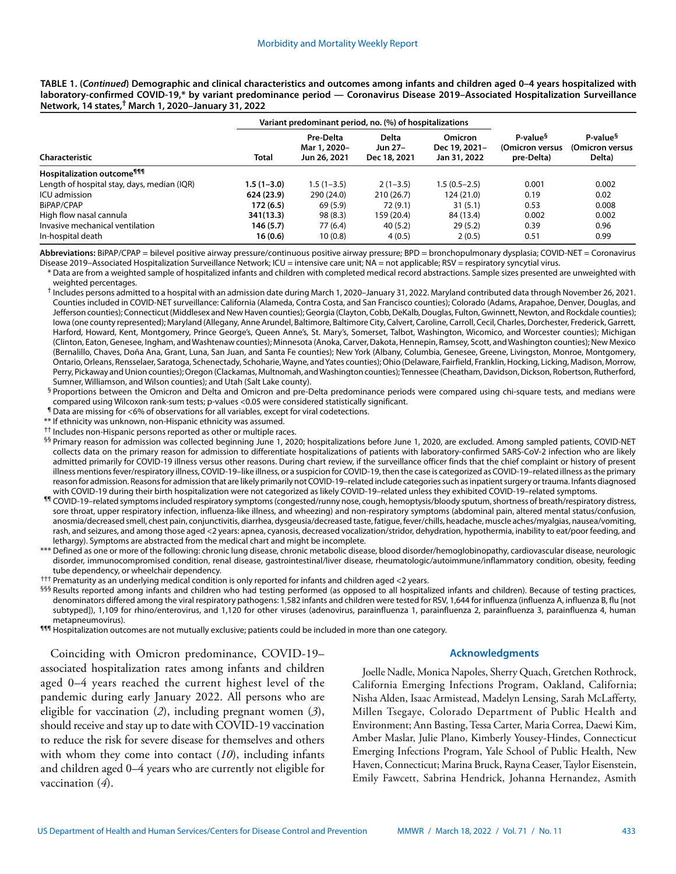**TABLE 1. (***Continued***) Demographic and clinical characteristics and outcomes among infants and children aged 0–4 years hospitalized with laboratory-confirmed COVID-19,\* by variant predominance period — Coronavirus Disease 2019–Associated Hospitalization Surveillance Network, 14 states,† March 1, 2020–January 31, 2022**

| Variant predominant period, no. (%) of hospitalizations |                |                                           |                                         |                                                 |                                                       |                                                   |
|---------------------------------------------------------|----------------|-------------------------------------------|-----------------------------------------|-------------------------------------------------|-------------------------------------------------------|---------------------------------------------------|
| Characteristic                                          | Total          | Pre-Delta<br>Mar 1, 2020-<br>Jun 26, 2021 | <b>Delta</b><br>Jun 27-<br>Dec 18, 2021 | <b>Omicron</b><br>Dec 19, 2021-<br>Jan 31, 2022 | P-value <sup>§</sup><br>(Omicron versus<br>pre-Delta) | P-value <sup>§</sup><br>(Omicron versus<br>Delta) |
| <b>Hospitalization outcome<sup>111</sup></b>            |                |                                           |                                         |                                                 |                                                       |                                                   |
| Length of hospital stay, days, median (IQR)             | $1.5(1 - 3.0)$ | $1.5(1 - 3.5)$                            | $2(1-3.5)$                              | $1.5(0.5-2.5)$                                  | 0.001                                                 | 0.002                                             |
| ICU admission                                           | 624 (23.9)     | 290 (24.0)                                | 210(26.7)                               | 124 (21.0)                                      | 0.19                                                  | 0.02                                              |
| BiPAP/CPAP                                              | 172 (6.5)      | 69 (5.9)                                  | 72 (9.1)                                | 31(5.1)                                         | 0.53                                                  | 0.008                                             |
| High flow nasal cannula                                 | 341(13.3)      | 98(8.3)                                   | 159 (20.4)                              | 84 (13.4)                                       | 0.002                                                 | 0.002                                             |
| Invasive mechanical ventilation                         | 146 (5.7)      | 77 (6.4)                                  | 40(5.2)                                 | 29(5.2)                                         | 0.39                                                  | 0.96                                              |
| In-hospital death                                       | 16 (0.6)       | 10(0.8)                                   | 4(0.5)                                  | 2(0.5)                                          | 0.51                                                  | 0.99                                              |

**Abbreviations:** BiPAP/CPAP = bilevel positive airway pressure/continuous positive airway pressure; BPD = bronchopulmonary dysplasia; COVID-NET = Coronavirus Disease 2019–Associated Hospitalization Surveillance Network; ICU = intensive care unit; NA = not applicable; RSV = respiratory syncytial virus.

\* Data are from a weighted sample of hospitalized infants and children with completed medical record abstractions. Sample sizes presented are unweighted with weighted percentages.

† Includes persons admitted to a hospital with an admission date during March 1, 2020–January 31, 2022. Maryland contributed data through November 26, 2021. Counties included in COVID-NET surveillance: California (Alameda, Contra Costa, and San Francisco counties); Colorado (Adams, Arapahoe, Denver, Douglas, and Jefferson counties); Connecticut (Middlesex and New Haven counties); Georgia (Clayton, Cobb, DeKalb, Douglas, Fulton, Gwinnett, Newton, and Rockdale counties); Iowa (one county represented); Maryland (Allegany, Anne Arundel, Baltimore, Baltimore City, Calvert, Caroline, Carroll, Cecil, Charles, Dorchester, Frederick, Garrett, Harford, Howard, Kent, Montgomery, Prince George's, Queen Anne's, St. Mary's, Somerset, Talbot, Washington, Wicomico, and Worcester counties); Michigan (Clinton, Eaton, Genesee, Ingham, and Washtenaw counties); Minnesota (Anoka, Carver, Dakota, Hennepin, Ramsey, Scott, and Washington counties); New Mexico (Bernalillo, Chaves, Doña Ana, Grant, Luna, San Juan, and Santa Fe counties); New York (Albany, Columbia, Genesee, Greene, Livingston, Monroe, Montgomery, Ontario, Orleans, Rensselaer, Saratoga, Schenectady, Schoharie, Wayne, and Yates counties); Ohio (Delaware, Fairfield, Franklin, Hocking, Licking, Madison, Morrow, Perry, Pickaway and Union counties); Oregon (Clackamas, Multnomah, and Washington counties); Tennessee (Cheatham, Davidson, Dickson, Robertson, Rutherford, Sumner, Williamson, and Wilson counties); and Utah (Salt Lake county).

§ Proportions between the Omicron and Delta and Omicron and pre-Delta predominance periods were compared using chi-square tests, and medians were compared using Wilcoxon rank-sum tests; p-values <0.05 were considered statistically significant.

¶ Data are missing for <6% of observations for all variables, except for viral codetections.

\*\* If ethnicity was unknown, non-Hispanic ethnicity was assumed.

<sup>††</sup> Includes non-Hispanic persons reported as other or multiple races.

§§ Primary reason for admission was collected beginning June 1, 2020; hospitalizations before June 1, 2020, are excluded. Among sampled patients, COVID-NET collects data on the primary reason for admission to differentiate hospitalizations of patients with laboratory-confirmed SARS-CoV-2 infection who are likely admitted primarily for COVID-19 illness versus other reasons. During chart review, if the surveillance officer finds that the chief complaint or history of present illness mentions fever/respiratory illness, COVID-19–like illness, or a suspicion for COVID-19, then the case is categorized as COVID-19–related illness as the primary reason for admission. Reasons for admission that are likely primarily not COVID-19–related include categories such as inpatient surgery or trauma. Infants diagnosed with COVID-19 during their birth hospitalization were not categorized as likely COVID-19–related unless they exhibited COVID-19–related symptoms.

¶¶ COVID-19–related symptoms included respiratory symptoms (congested/runny nose, cough, hemoptysis/bloody sputum, shortness of breath/respiratory distress, sore throat, upper respiratory infection, influenza-like illness, and wheezing) and non-respiratory symptoms (abdominal pain, altered mental status/confusion, anosmia/decreased smell, chest pain, conjunctivitis, diarrhea, dysgeusia/decreased taste, fatigue, fever/chills, headache, muscle aches/myalgias, nausea/vomiting, rash, and seizures, and among those aged <2 years: apnea, cyanosis, decreased vocalization/stridor, dehydration, hypothermia, inability to eat/poor feeding, and lethargy). Symptoms are abstracted from the medical chart and might be incomplete.

\*\*\* Defined as one or more of the following: chronic lung disease, chronic metabolic disease, blood disorder/hemoglobinopathy, cardiovascular disease, neurologic disorder, immunocompromised condition, renal disease, gastrointestinal/liver disease, rheumatologic/autoimmune/inflammatory condition, obesity, feeding tube dependency, or wheelchair dependency.

††† Prematurity as an underlying medical condition is only reported for infants and children aged <2 years.

§§§ Results reported among infants and children who had testing performed (as opposed to all hospitalized infants and children). Because of testing practices, denominators differed among the viral respiratory pathogens: 1,582 infants and children were tested for RSV, 1,644 for influenza (influenza A, influenza B, flu [not subtyped]), 1,109 for rhino/enterovirus, and 1,120 for other viruses (adenovirus, parainfluenza 1, parainfluenza 2, parainfluenza 3, parainfluenza 4, human metapneumovirus).

¶¶¶ Hospitalization outcomes are not mutually exclusive; patients could be included in more than one category.

Coinciding with Omicron predominance, COVID-19– associated hospitalization rates among infants and children aged 0–4 years reached the current highest level of the pandemic during early January 2022. All persons who are eligible for vaccination (*2*), including pregnant women (*3*), should receive and stay up to date with COVID-19 vaccination to reduce the risk for severe disease for themselves and others with whom they come into contact (*10*), including infants and children aged 0–4 years who are currently not eligible for vaccination (*4*).

#### **Acknowledgments**

Joelle Nadle, Monica Napoles, Sherry Quach, Gretchen Rothrock, California Emerging Infections Program, Oakland, California; Nisha Alden, Isaac Armistead, Madelyn Lensing, Sarah McLafferty, Millen Tsegaye, Colorado Department of Public Health and Environment; Ann Basting, Tessa Carter, Maria Correa, Daewi Kim, Amber Maslar, Julie Plano, Kimberly Yousey-Hindes, Connecticut Emerging Infections Program, Yale School of Public Health, New Haven, Connecticut; Marina Bruck, Rayna Ceaser, Taylor Eisenstein, Emily Fawcett, Sabrina Hendrick, Johanna Hernandez, Asmith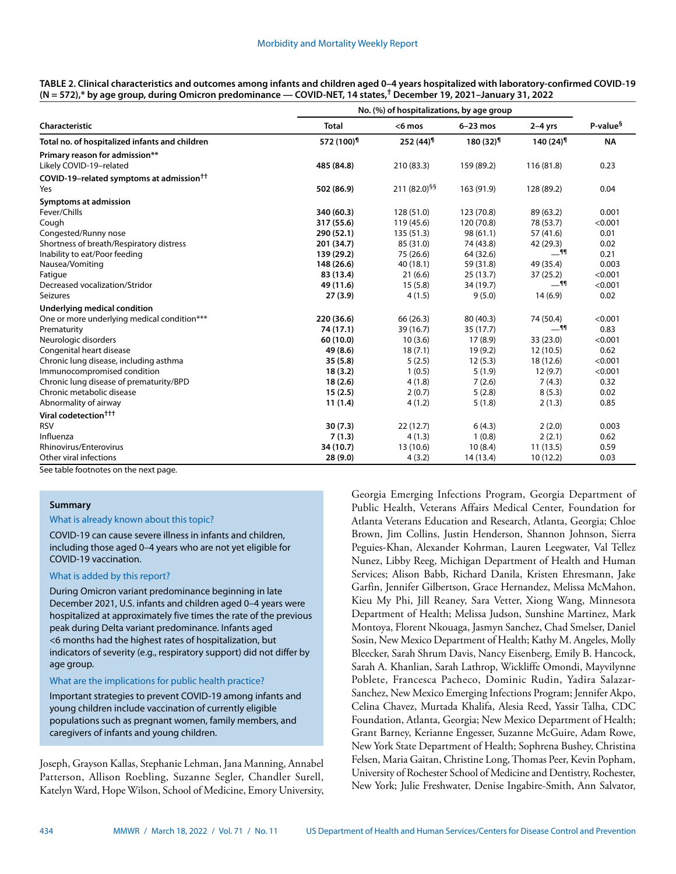| TABLE 2. Clinical characteristics and outcomes among infants and children aged 0–4 years hospitalized with laboratory-confirmed COVID-19 |
|------------------------------------------------------------------------------------------------------------------------------------------|
| (N = 572),* by age group, during Omicron predominance — COVID-NET, 14 states, <sup>†</sup> December 19, 2021–January 31, 2022            |

|                                                      | No. (%) of hospitalizations, by age group |                          |                        |                        |                      |
|------------------------------------------------------|-------------------------------------------|--------------------------|------------------------|------------------------|----------------------|
| Characteristic                                       | <b>Total</b>                              | $<$ 6 mos                | $6-23$ mos             | $2-4$ yrs              | P-value <sup>§</sup> |
| Total no. of hospitalized infants and children       | 572 (100) <sup>¶</sup>                    | $252(44)^9$              | $180(32)$ <sup>1</sup> | $140(24)$ <sup>1</sup> | <b>NA</b>            |
| Primary reason for admission**                       |                                           |                          |                        |                        |                      |
| Likely COVID-19-related                              | 485 (84.8)                                | 210 (83.3)               | 159 (89.2)             | 116 (81.8)             | 0.23                 |
| COVID-19-related symptoms at admission <sup>††</sup> |                                           |                          |                        |                        |                      |
| Yes                                                  | 502 (86.9)                                | 211 (82.0) <sup>§§</sup> | 163 (91.9)             | 128 (89.2)             | 0.04                 |
| Symptoms at admission                                |                                           |                          |                        |                        |                      |
| Fever/Chills                                         | 340 (60.3)                                | 128 (51.0)               | 123 (70.8)             | 89 (63.2)              | 0.001                |
| Cough                                                | 317 (55.6)                                | 119 (45.6)               | 120 (70.8)             | 78 (53.7)              | < 0.001              |
| Congested/Runny nose                                 | 290 (52.1)                                | 135(51.3)                | 98(61.1)               | 57 (41.6)              | 0.01                 |
| Shortness of breath/Respiratory distress             | 201 (34.7)                                | 85 (31.0)                | 74 (43.8)              | 42 (29.3)              | 0.02                 |
| Inability to eat/Poor feeding                        | 139 (29.2)                                | 75 (26.6)                | 64 (32.6)              | <u>_</u> ¶¶            | 0.21                 |
| Nausea/Vomiting                                      | 148 (26.6)                                | 40(18.1)                 | 59 (31.8)              | 49 (35.4)              | 0.003                |
| Fatigue                                              | 83 (13.4)                                 | 21(6.6)                  | 25(13.7)               | 37(25.2)               | < 0.001              |
| Decreased vocalization/Stridor                       | 49 (11.6)                                 | 15(5.8)                  | 34 (19.7)              | $-$ 11                 | < 0.001              |
| <b>Seizures</b>                                      | 27(3.9)                                   | 4(1.5)                   | 9(5.0)                 | 14(6.9)                | 0.02                 |
| Underlying medical condition                         |                                           |                          |                        |                        |                      |
| One or more underlying medical condition***          | 220 (36.6)                                | 66 (26.3)                | 80 (40.3)              | 74 (50.4)              | < 0.001              |
| Prematurity                                          | 74 (17.1)                                 | 39 (16.7)                | 35 (17.7)              | $-$ 11                 | 0.83                 |
| Neurologic disorders                                 | 60 (10.0)                                 | 10(3.6)                  | 17(8.9)                | 33 (23.0)              | < 0.001              |
| Congenital heart disease                             | 49 (8.6)                                  | 18(7.1)                  | 19(9.2)                | 12(10.5)               | 0.62                 |
| Chronic lung disease, including asthma               | 35(5.8)                                   | 5(2.5)                   | 12(5.3)                | 18 (12.6)              | < 0.001              |
| Immunocompromised condition                          | 18(3.2)                                   | 1(0.5)                   | 5(1.9)                 | 12(9.7)                | < 0.001              |
| Chronic lung disease of prematurity/BPD              | 18(2.6)                                   | 4(1.8)                   | 7(2.6)                 | 7(4.3)                 | 0.32                 |
| Chronic metabolic disease                            | 15(2.5)                                   | 2(0.7)                   | 5(2.8)                 | 8(5.3)                 | 0.02                 |
| Abnormality of airway                                | 11(1.4)                                   | 4(1.2)                   | 5(1.8)                 | 2(1.3)                 | 0.85                 |
| Viral codetection <sup>†††</sup>                     |                                           |                          |                        |                        |                      |
| <b>RSV</b>                                           | 30(7.3)                                   | 22(12.7)                 | 6(4.3)                 | 2(2.0)                 | 0.003                |
| Influenza                                            | 7(1.3)                                    | 4(1.3)                   | 1(0.8)                 | 2(2.1)                 | 0.62                 |
| <b>Rhinovirus/Enterovirus</b>                        | 34 (10.7)                                 | 13 (10.6)                | 10(8.4)                | 11(13.5)               | 0.59                 |
| Other viral infections                               | 28(9.0)                                   | 4(3.2)                   | 14 (13.4)              | 10(12.2)               | 0.03                 |

See table footnotes on the next page.

#### **Summary**

#### What is already known about this topic?

COVID-19 can cause severe illness in infants and children, including those aged 0–4 years who are not yet eligible for COVID-19 vaccination.

#### What is added by this report?

During Omicron variant predominance beginning in late December 2021, U.S. infants and children aged 0–4 years were hospitalized at approximately five times the rate of the previous peak during Delta variant predominance. Infants aged <6 months had the highest rates of hospitalization, but indicators of severity (e.g., respiratory support) did not differ by age group.

#### What are the implications for public health practice?

Important strategies to prevent COVID-19 among infants and young children include vaccination of currently eligible populations such as pregnant women, family members, and caregivers of infants and young children.

Joseph, Grayson Kallas, Stephanie Lehman, Jana Manning, Annabel Patterson, Allison Roebling, Suzanne Segler, Chandler Surell, Katelyn Ward, Hope Wilson, School of Medicine, Emory University, Georgia Emerging Infections Program, Georgia Department of Public Health, Veterans Affairs Medical Center, Foundation for Atlanta Veterans Education and Research, Atlanta, Georgia; Chloe Brown, Jim Collins, Justin Henderson, Shannon Johnson, Sierra Peguies-Khan, Alexander Kohrman, Lauren Leegwater, Val Tellez Nunez, Libby Reeg, Michigan Department of Health and Human Services; Alison Babb, Richard Danila, Kristen Ehresmann, Jake Garfin, Jennifer Gilbertson, Grace Hernandez, Melissa McMahon, Kieu My Phi, Jill Reaney, Sara Vetter, Xiong Wang, Minnesota Department of Health; Melissa Judson, Sunshine Martinez, Mark Montoya, Florent Nkouaga, Jasmyn Sanchez, Chad Smelser, Daniel Sosin, New Mexico Department of Health; Kathy M. Angeles, Molly Bleecker, Sarah Shrum Davis, Nancy Eisenberg, Emily B. Hancock, Sarah A. Khanlian, Sarah Lathrop, Wickliffe Omondi, Mayvilynne Poblete, Francesca Pacheco, Dominic Rudin, Yadira Salazar-Sanchez, New Mexico Emerging Infections Program; Jennifer Akpo, Celina Chavez, Murtada Khalifa, Alesia Reed, Yassir Talha, CDC Foundation, Atlanta, Georgia; New Mexico Department of Health; Grant Barney, Kerianne Engesser, Suzanne McGuire, Adam Rowe, New York State Department of Health; Sophrena Bushey, Christina Felsen, Maria Gaitan, Christine Long, Thomas Peer, Kevin Popham, University of Rochester School of Medicine and Dentistry, Rochester, New York; Julie Freshwater, Denise Ingabire-Smith, Ann Salvator,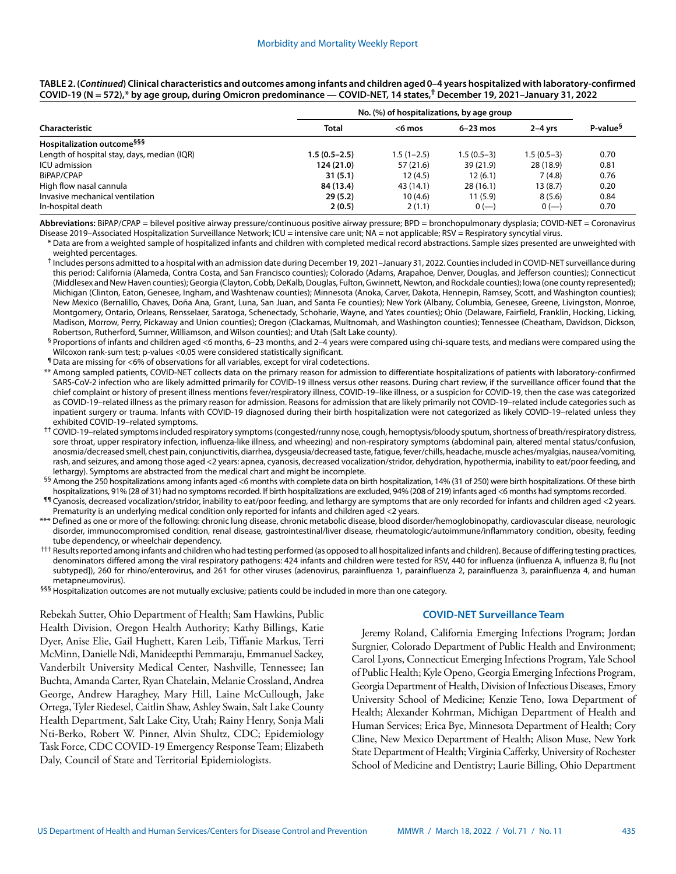| TABLE 2. (Continued) Clinical characteristics and outcomes among infants and children aged 0-4 years hospitalized with laboratory-confirmed |
|---------------------------------------------------------------------------------------------------------------------------------------------|
| COVID-19 (N = 572),* by age group, during Omicron predominance — COVID-NET, 14 states, <sup>†</sup> December 19, 2021–January 31, 2022      |

|                                             | No. (%) of hospitalizations, by age group |              |              |              |                      |  |
|---------------------------------------------|-------------------------------------------|--------------|--------------|--------------|----------------------|--|
| Characteristic                              | <b>Total</b>                              | $<$ 6 mos    | $6-23$ mos   | $2-4$ vrs    | P-value <sup>§</sup> |  |
| Hospitalization outcome <sup>§§§</sup>      |                                           |              |              |              |                      |  |
| Length of hospital stay, days, median (IQR) | $1.5(0.5-2.5)$                            | $1.5(1-2.5)$ | $1.5(0.5-3)$ | $1.5(0.5-3)$ | 0.70                 |  |
| ICU admission                               | 124(21.0)                                 | 57 (21.6)    | 39(21.9)     | 28 (18.9)    | 0.81                 |  |
| BiPAP/CPAP                                  | 31(5.1)                                   | 12(4.5)      | 12(6.1)      | 7(4.8)       | 0.76                 |  |
| High flow nasal cannula                     | 84 (13.4)                                 | 43 (14.1)    | 28(16.1)     | 13 (8.7)     | 0.20                 |  |
| Invasive mechanical ventilation             | 29(5.2)                                   | 10(4.6)      | 11(5.9)      | 8(5.6)       | 0.84                 |  |
| In-hospital death                           | 2(0.5)                                    | 2(1.1)       | $0(-)$       | $0 (-)$      | 0.70                 |  |

**Abbreviations:** BiPAP/CPAP = bilevel positive airway pressure/continuous positive airway pressure; BPD = bronchopulmonary dysplasia; COVID-NET = Coronavirus Disease 2019–Associated Hospitalization Surveillance Network; ICU = intensive care unit; NA = not applicable; RSV = Respiratory syncytial virus.

\* Data are from a weighted sample of hospitalized infants and children with completed medical record abstractions. Sample sizes presented are unweighted with weighted percentages.

† Includes persons admitted to a hospital with an admission date during December 19, 2021–January 31, 2022. Counties included in COVID-NET surveillance during this period: California (Alameda, Contra Costa, and San Francisco counties); Colorado (Adams, Arapahoe, Denver, Douglas, and Jefferson counties); Connecticut (Middlesex and New Haven counties); Georgia (Clayton, Cobb, DeKalb, Douglas, Fulton, Gwinnett, Newton, and Rockdale counties); Iowa (one county represented); Michigan (Clinton, Eaton, Genesee, Ingham, and Washtenaw counties); Minnesota (Anoka, Carver, Dakota, Hennepin, Ramsey, Scott, and Washington counties); New Mexico (Bernalillo, Chaves, Doña Ana, Grant, Luna, San Juan, and Santa Fe counties); New York (Albany, Columbia, Genesee, Greene, Livingston, Monroe, Montgomery, Ontario, Orleans, Rensselaer, Saratoga, Schenectady, Schoharie, Wayne, and Yates counties); Ohio (Delaware, Fairfield, Franklin, Hocking, Licking, Madison, Morrow, Perry, Pickaway and Union counties); Oregon (Clackamas, Multnomah, and Washington counties); Tennessee (Cheatham, Davidson, Dickson, Robertson, Rutherford, Sumner, Williamson, and Wilson counties); and Utah (Salt Lake county).

§ Proportions of infants and children aged <6 months, 6–23 months, and 2–4 years were compared using chi-square tests, and medians were compared using the Wilcoxon rank-sum test; p-values <0.05 were considered statistically significant.

¶ Data are missing for <6% of observations for all variables, except for viral codetections.

\*\* Among sampled patients, COVID-NET collects data on the primary reason for admission to differentiate hospitalizations of patients with laboratory-confirmed SARS-CoV-2 infection who are likely admitted primarily for COVID-19 illness versus other reasons. During chart review, if the surveillance officer found that the chief complaint or history of present illness mentions fever/respiratory illness, COVID-19–like illness, or a suspicion for COVID-19, then the case was categorized as COVID-19–related illness as the primary reason for admission. Reasons for admission that are likely primarily not COVID-19–related include categories such as inpatient surgery or trauma. Infants with COVID-19 diagnosed during their birth hospitalization were not categorized as likely COVID-19–related unless they exhibited COVID-19–related symptoms.

†† COVID-19–related symptoms included respiratory symptoms (congested/runny nose, cough, hemoptysis/bloody sputum, shortness of breath/respiratory distress, sore throat, upper respiratory infection, influenza-like illness, and wheezing) and non-respiratory symptoms (abdominal pain, altered mental status/confusion, anosmia/decreased smell, chest pain, conjunctivitis, diarrhea, dysgeusia/decreased taste, fatigue, fever/chills, headache, muscle aches/myalgias, nausea/vomiting, rash, and seizures, and among those aged <2 years: apnea, cyanosis, decreased vocalization/stridor, dehydration, hypothermia, inability to eat/poor feeding, and lethargy). Symptoms are abstracted from the medical chart and might be incomplete.

 $§$ § Among the 250 hospitalizations among infants aged <6 months with complete data on birth hospitalization, 14% (31 of 250) were birth hospitalizations. Of these birth hospitalizations, 91% (28 of 31) had no symptoms recorded. If birth hospitalizations are excluded, 94% (208 of 219) infants aged <6 months had symptoms recorded.

- ¶¶ Cyanosis, decreased vocalization/stridor, inability to eat/poor feeding, and lethargy are symptoms that are only recorded for infants and children aged <2 years. Prematurity is an underlying medical condition only reported for infants and children aged <2 years.
- \*\*\* Defined as one or more of the following: chronic lung disease, chronic metabolic disease, blood disorder/hemoglobinopathy, cardiovascular disease, neurologic disorder, immunocompromised condition, renal disease, gastrointestinal/liver disease, rheumatologic/autoimmune/inflammatory condition, obesity, feeding tube dependency, or wheelchair dependency.
- ††† Results reported among infants and children who had testing performed (as opposed to all hospitalized infants and children). Because of differing testing practices, denominators differed among the viral respiratory pathogens: 424 infants and children were tested for RSV, 440 for influenza (influenza A, influenza B, flu [not subtyped]), 260 for rhino/enterovirus, and 261 for other viruses (adenovirus, parainfluenza 1, parainfluenza 2, parainfluenza 3, parainfluenza 4, and human metapneumovirus).

§§§ Hospitalization outcomes are not mutually exclusive; patients could be included in more than one category.

Rebekah Sutter, Ohio Department of Health; Sam Hawkins, Public Health Division, Oregon Health Authority; Kathy Billings, Katie Dyer, Anise Elie, Gail Hughett, Karen Leib, Tiffanie Markus, Terri McMinn, Danielle Ndi, Manideepthi Pemmaraju, Emmanuel Sackey, Vanderbilt University Medical Center, Nashville, Tennessee; Ian Buchta, Amanda Carter, Ryan Chatelain, Melanie Crossland, Andrea George, Andrew Haraghey, Mary Hill, Laine McCullough, Jake Ortega, Tyler Riedesel, Caitlin Shaw, Ashley Swain, Salt Lake County Health Department, Salt Lake City, Utah; Rainy Henry, Sonja Mali Nti-Berko, Robert W. Pinner, Alvin Shultz, CDC; Epidemiology Task Force, CDC COVID-19 Emergency Response Team; Elizabeth Daly, Council of State and Territorial Epidemiologists.

#### **COVID-NET Surveillance Team**

Jeremy Roland, California Emerging Infections Program; Jordan Surgnier, Colorado Department of Public Health and Environment; Carol Lyons, Connecticut Emerging Infections Program, Yale School of Public Health; Kyle Openo, Georgia Emerging Infections Program, Georgia Department of Health, Division of Infectious Diseases, Emory University School of Medicine; Kenzie Teno, Iowa Department of Health; Alexander Kohrman, Michigan Department of Health and Human Services; Erica Bye, Minnesota Department of Health; Cory Cline, New Mexico Department of Health; Alison Muse, New York State Department of Health; Virginia Cafferky, University of Rochester School of Medicine and Dentistry; Laurie Billing, Ohio Department